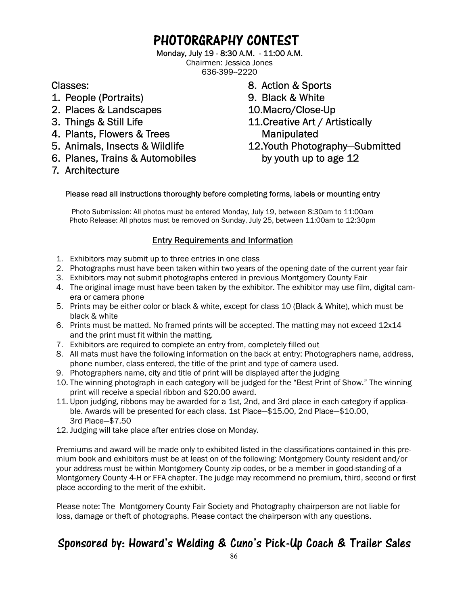## PHOTORGRAPHY CONTEST

Monday, July 19 - 8:30 A.M. - 11:00 A.M.

Chairmen: Jessica Jones 636-399--2220

Classes:

- 1. People (Portraits)
- 2. Places & Landscapes
- 3. Things & Still Life
- 4. Plants, Flowers & Trees
- 5. Animals, Insects & Wildlife
- 6. Planes, Trains & Automobiles
- 7. Architecture
- 8. Action & Sports
- 9. Black & White
- 10.Macro/Close-Up
- 11.Creative Art / Artistically Manipulated 12.Youth Photography—Submitted by youth up to age 12

#### Please read all instructions thoroughly before completing forms, labels or mounting entry

Photo Submission: All photos must be entered Monday, July 19, between 8:30am to 11:00am Photo Release: All photos must be removed on Sunday, July 25, between 11:00am to 12:30pm

#### Entry Requirements and Information

- 1. Exhibitors may submit up to three entries in one class
- 2. Photographs must have been taken within two years of the opening date of the current year fair
- 3. Exhibitors may not submit photographs entered in previous Montgomery County Fair
- 4. The original image must have been taken by the exhibitor. The exhibitor may use film, digital camera or camera phone
- 5. Prints may be either color or black & white, except for class 10 (Black & White), which must be black & white
- 6. Prints must be matted. No framed prints will be accepted. The matting may not exceed 12x14 and the print must fit within the matting.
- 7. Exhibitors are required to complete an entry from, completely filled out
- 8. All mats must have the following information on the back at entry: Photographers name, address, phone number, class entered, the title of the print and type of camera used.
- 9. Photographers name, city and title of print will be displayed after the judging
- 10. The winning photograph in each category will be judged for the "Best Print of Show." The winning print will receive a special ribbon and \$20.00 award.
- 11. Upon judging, ribbons may be awarded for a 1st, 2nd, and 3rd place in each category if applicable. Awards will be presented for each class. 1st Place—\$15.00, 2nd Place—\$10.00, 3rd Place—\$7.50
- 12. Judging will take place after entries close on Monday.

Premiums and award will be made only to exhibited listed in the classifications contained in this premium book and exhibitors must be at least on of the following: Montgomery County resident and/or your address must be within Montgomery County zip codes, or be a member in good-standing of a Montgomery County 4-H or FFA chapter. The judge may recommend no premium, third, second or first place according to the merit of the exhibit.

Please note: The Montgomery County Fair Society and Photography chairperson are not liable for loss, damage or theft of photographs. Please contact the chairperson with any questions.

### Sponsored by: Howard's Welding & Cuno's Pick-Up Coach & Trailer Sales